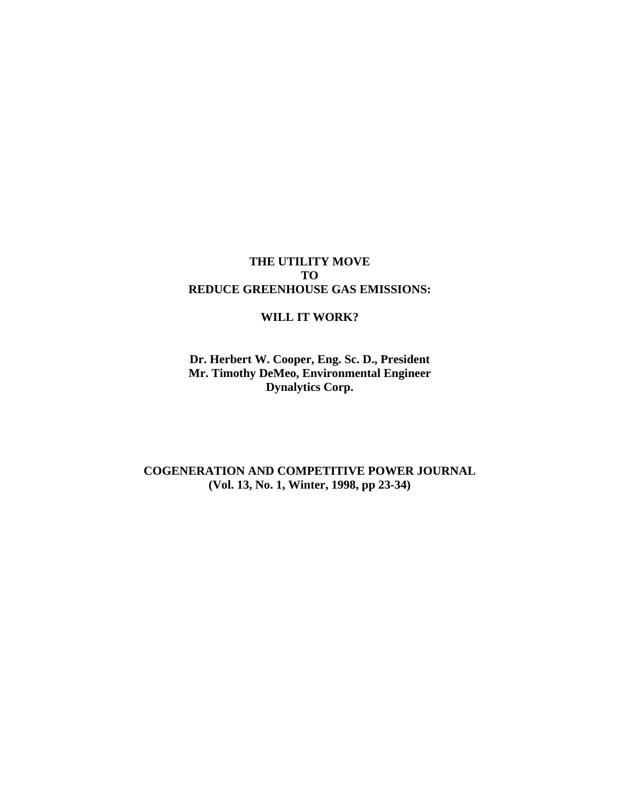# **THE UTILITY MOVE TO REDUCE GREENHOUSE GAS EMISSIONS:**

### **WILL IT WORK?**

**Dr. Herbert W. Cooper, Eng. Sc. D., President Mr. Timothy DeMeo, Environmental Engineer Dynalytics Corp.** 

**COGENERATION AND COMPETITIVE POWER JOURNAL (Vol. 13, No. 1, Winter, 1998, pp 23-34)**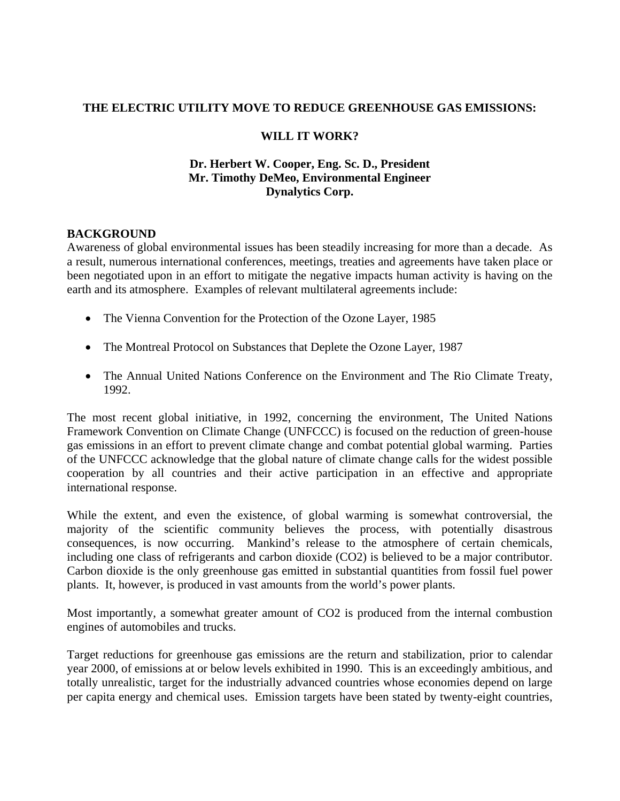### **THE ELECTRIC UTILITY MOVE TO REDUCE GREENHOUSE GAS EMISSIONS:**

### **WILL IT WORK?**

### **Dr. Herbert W. Cooper, Eng. Sc. D., President Mr. Timothy DeMeo, Environmental Engineer Dynalytics Corp.**

# **BACKGROUND**

Awareness of global environmental issues has been steadily increasing for more than a decade. As a result, numerous international conferences, meetings, treaties and agreements have taken place or been negotiated upon in an effort to mitigate the negative impacts human activity is having on the earth and its atmosphere. Examples of relevant multilateral agreements include:

- The Vienna Convention for the Protection of the Ozone Layer, 1985
- The Montreal Protocol on Substances that Deplete the Ozone Layer, 1987
- The Annual United Nations Conference on the Environment and The Rio Climate Treaty, 1992.

The most recent global initiative, in 1992, concerning the environment, The United Nations Framework Convention on Climate Change (UNFCCC) is focused on the reduction of green-house gas emissions in an effort to prevent climate change and combat potential global warming. Parties of the UNFCCC acknowledge that the global nature of climate change calls for the widest possible cooperation by all countries and their active participation in an effective and appropriate international response.

While the extent, and even the existence, of global warming is somewhat controversial, the majority of the scientific community believes the process, with potentially disastrous consequences, is now occurring. Mankind's release to the atmosphere of certain chemicals, including one class of refrigerants and carbon dioxide (CO2) is believed to be a major contributor. Carbon dioxide is the only greenhouse gas emitted in substantial quantities from fossil fuel power plants. It, however, is produced in vast amounts from the world's power plants.

Most importantly, a somewhat greater amount of CO2 is produced from the internal combustion engines of automobiles and trucks.

Target reductions for greenhouse gas emissions are the return and stabilization, prior to calendar year 2000, of emissions at or below levels exhibited in 1990. This is an exceedingly ambitious, and totally unrealistic, target for the industrially advanced countries whose economies depend on large per capita energy and chemical uses. Emission targets have been stated by twenty-eight countries,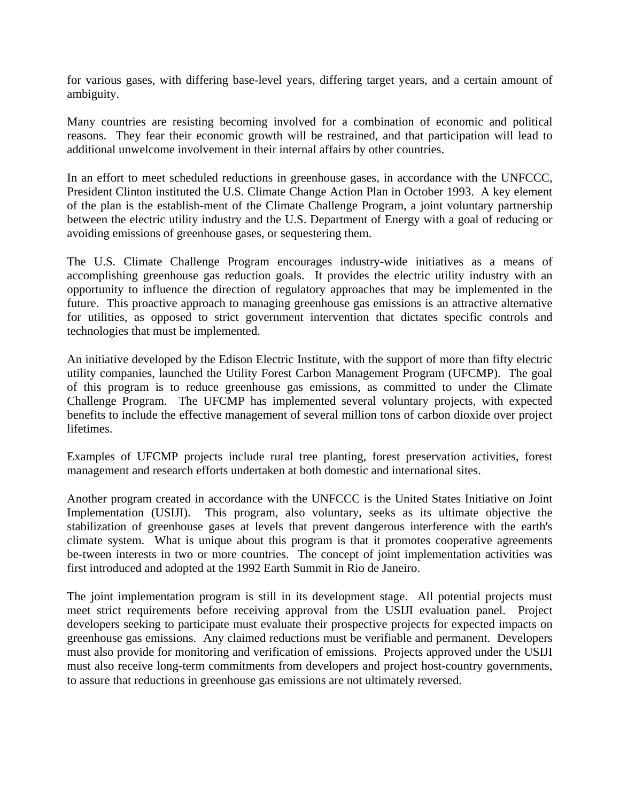for various gases, with differing base-level years, differing target years, and a certain amount of ambiguity.

Many countries are resisting becoming involved for a combination of economic and political reasons. They fear their economic growth will be restrained, and that participation will lead to additional unwelcome involvement in their internal affairs by other countries.

In an effort to meet scheduled reductions in greenhouse gases, in accordance with the UNFCCC, President Clinton instituted the U.S. Climate Change Action Plan in October 1993. A key element of the plan is the establish-ment of the Climate Challenge Program, a joint voluntary partnership between the electric utility industry and the U.S. Department of Energy with a goal of reducing or avoiding emissions of greenhouse gases, or sequestering them.

The U.S. Climate Challenge Program encourages industry-wide initiatives as a means of accomplishing greenhouse gas reduction goals. It provides the electric utility industry with an opportunity to influence the direction of regulatory approaches that may be implemented in the future. This proactive approach to managing greenhouse gas emissions is an attractive alternative for utilities, as opposed to strict government intervention that dictates specific controls and technologies that must be implemented.

An initiative developed by the Edison Electric Institute, with the support of more than fifty electric utility companies, launched the Utility Forest Carbon Management Program (UFCMP). The goal of this program is to reduce greenhouse gas emissions, as committed to under the Climate Challenge Program. The UFCMP has implemented several voluntary projects, with expected benefits to include the effective management of several million tons of carbon dioxide over project lifetimes.

Examples of UFCMP projects include rural tree planting, forest preservation activities, forest management and research efforts undertaken at both domestic and international sites.

Another program created in accordance with the UNFCCC is the United States Initiative on Joint Implementation (USIJI). This program, also voluntary, seeks as its ultimate objective the stabilization of greenhouse gases at levels that prevent dangerous interference with the earth's climate system. What is unique about this program is that it promotes cooperative agreements be-tween interests in two or more countries. The concept of joint implementation activities was first introduced and adopted at the 1992 Earth Summit in Rio de Janeiro.

The joint implementation program is still in its development stage. All potential projects must meet strict requirements before receiving approval from the USIJI evaluation panel. Project developers seeking to participate must evaluate their prospective projects for expected impacts on greenhouse gas emissions. Any claimed reductions must be verifiable and permanent. Developers must also provide for monitoring and verification of emissions. Projects approved under the USIJI must also receive long-term commitments from developers and project host-country governments, to assure that reductions in greenhouse gas emissions are not ultimately reversed.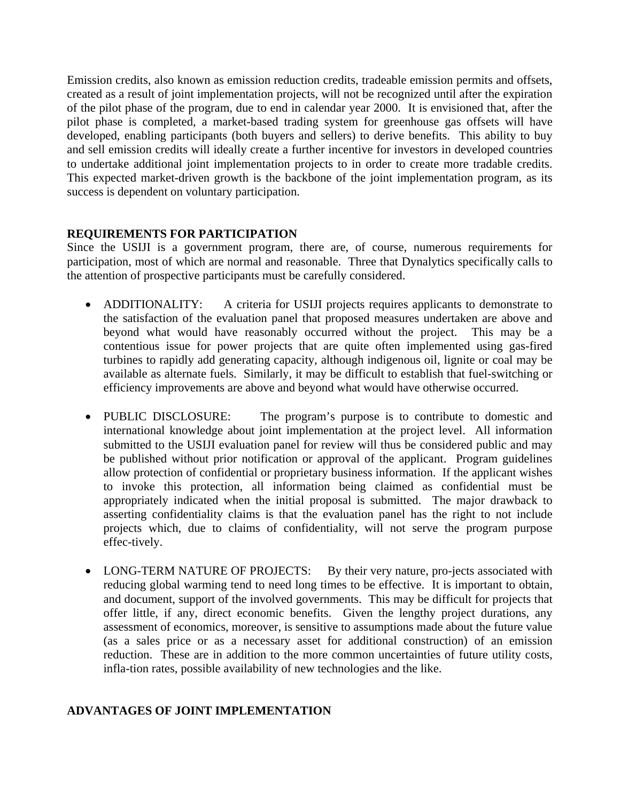Emission credits, also known as emission reduction credits, tradeable emission permits and offsets, created as a result of joint implementation projects, will not be recognized until after the expiration of the pilot phase of the program, due to end in calendar year 2000. It is envisioned that, after the pilot phase is completed, a market-based trading system for greenhouse gas offsets will have developed, enabling participants (both buyers and sellers) to derive benefits. This ability to buy and sell emission credits will ideally create a further incentive for investors in developed countries to undertake additional joint implementation projects to in order to create more tradable credits. This expected market-driven growth is the backbone of the joint implementation program, as its success is dependent on voluntary participation.

# **REQUIREMENTS FOR PARTICIPATION**

Since the USIJI is a government program, there are, of course, numerous requirements for participation, most of which are normal and reasonable. Three that Dynalytics specifically calls to the attention of prospective participants must be carefully considered.

- ADDITIONALITY: A criteria for USIJI projects requires applicants to demonstrate to the satisfaction of the evaluation panel that proposed measures undertaken are above and beyond what would have reasonably occurred without the project. This may be a contentious issue for power projects that are quite often implemented using gas-fired turbines to rapidly add generating capacity, although indigenous oil, lignite or coal may be available as alternate fuels. Similarly, it may be difficult to establish that fuel-switching or efficiency improvements are above and beyond what would have otherwise occurred.
- PUBLIC DISCLOSURE: The program's purpose is to contribute to domestic and international knowledge about joint implementation at the project level. All information submitted to the USIJI evaluation panel for review will thus be considered public and may be published without prior notification or approval of the applicant. Program guidelines allow protection of confidential or proprietary business information. If the applicant wishes to invoke this protection, all information being claimed as confidential must be appropriately indicated when the initial proposal is submitted. The major drawback to asserting confidentiality claims is that the evaluation panel has the right to not include projects which, due to claims of confidentiality, will not serve the program purpose effec-tively.
- LONG-TERM NATURE OF PROJECTS: By their very nature, pro-jects associated with reducing global warming tend to need long times to be effective. It is important to obtain, and document, support of the involved governments. This may be difficult for projects that offer little, if any, direct economic benefits. Given the lengthy project durations, any assessment of economics, moreover, is sensitive to assumptions made about the future value (as a sales price or as a necessary asset for additional construction) of an emission reduction. These are in addition to the more common uncertainties of future utility costs, infla-tion rates, possible availability of new technologies and the like.

# **ADVANTAGES OF JOINT IMPLEMENTATION**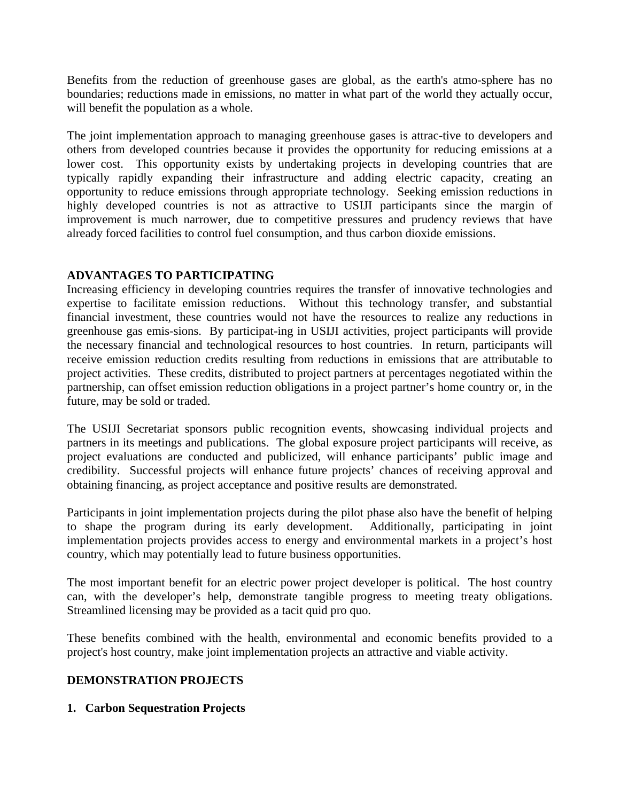Benefits from the reduction of greenhouse gases are global, as the earth's atmo-sphere has no boundaries; reductions made in emissions, no matter in what part of the world they actually occur, will benefit the population as a whole.

The joint implementation approach to managing greenhouse gases is attrac-tive to developers and others from developed countries because it provides the opportunity for reducing emissions at a lower cost. This opportunity exists by undertaking projects in developing countries that are typically rapidly expanding their infrastructure and adding electric capacity, creating an opportunity to reduce emissions through appropriate technology. Seeking emission reductions in highly developed countries is not as attractive to USIJI participants since the margin of improvement is much narrower, due to competitive pressures and prudency reviews that have already forced facilities to control fuel consumption, and thus carbon dioxide emissions.

# **ADVANTAGES TO PARTICIPATING**

Increasing efficiency in developing countries requires the transfer of innovative technologies and expertise to facilitate emission reductions. Without this technology transfer, and substantial financial investment, these countries would not have the resources to realize any reductions in greenhouse gas emis-sions. By participat-ing in USIJI activities, project participants will provide the necessary financial and technological resources to host countries. In return, participants will receive emission reduction credits resulting from reductions in emissions that are attributable to project activities. These credits, distributed to project partners at percentages negotiated within the partnership, can offset emission reduction obligations in a project partner's home country or, in the future, may be sold or traded.

The USIJI Secretariat sponsors public recognition events, showcasing individual projects and partners in its meetings and publications. The global exposure project participants will receive, as project evaluations are conducted and publicized, will enhance participants' public image and credibility. Successful projects will enhance future projects' chances of receiving approval and obtaining financing, as project acceptance and positive results are demonstrated.

Participants in joint implementation projects during the pilot phase also have the benefit of helping to shape the program during its early development. Additionally, participating in joint implementation projects provides access to energy and environmental markets in a project's host country, which may potentially lead to future business opportunities.

The most important benefit for an electric power project developer is political. The host country can, with the developer's help, demonstrate tangible progress to meeting treaty obligations. Streamlined licensing may be provided as a tacit quid pro quo.

These benefits combined with the health, environmental and economic benefits provided to a project's host country, make joint implementation projects an attractive and viable activity.

# **DEMONSTRATION PROJECTS**

# **1. Carbon Sequestration Projects**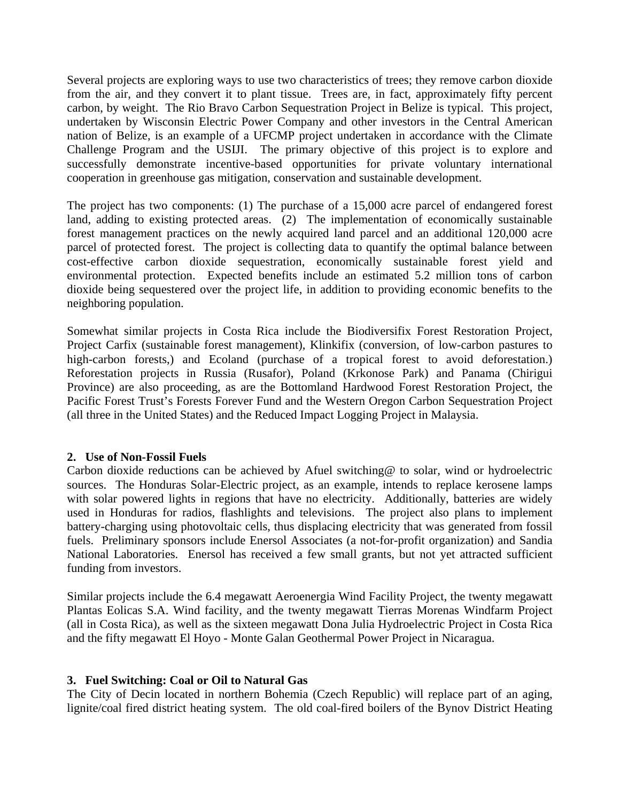Several projects are exploring ways to use two characteristics of trees; they remove carbon dioxide from the air, and they convert it to plant tissue. Trees are, in fact, approximately fifty percent carbon, by weight. The Rio Bravo Carbon Sequestration Project in Belize is typical. This project, undertaken by Wisconsin Electric Power Company and other investors in the Central American nation of Belize, is an example of a UFCMP project undertaken in accordance with the Climate Challenge Program and the USIJI. The primary objective of this project is to explore and successfully demonstrate incentive-based opportunities for private voluntary international cooperation in greenhouse gas mitigation, conservation and sustainable development.

The project has two components: (1) The purchase of a 15,000 acre parcel of endangered forest land, adding to existing protected areas. (2) The implementation of economically sustainable forest management practices on the newly acquired land parcel and an additional 120,000 acre parcel of protected forest. The project is collecting data to quantify the optimal balance between cost-effective carbon dioxide sequestration, economically sustainable forest yield and environmental protection. Expected benefits include an estimated 5.2 million tons of carbon dioxide being sequestered over the project life, in addition to providing economic benefits to the neighboring population.

Somewhat similar projects in Costa Rica include the Biodiversifix Forest Restoration Project, Project Carfix (sustainable forest management), Klinkifix (conversion, of low-carbon pastures to high-carbon forests,) and Ecoland (purchase of a tropical forest to avoid deforestation.) Reforestation projects in Russia (Rusafor), Poland (Krkonose Park) and Panama (Chirigui Province) are also proceeding, as are the Bottomland Hardwood Forest Restoration Project, the Pacific Forest Trust's Forests Forever Fund and the Western Oregon Carbon Sequestration Project (all three in the United States) and the Reduced Impact Logging Project in Malaysia.

#### **2. Use of Non-Fossil Fuels**

Carbon dioxide reductions can be achieved by Afuel switching@ to solar, wind or hydroelectric sources. The Honduras Solar-Electric project, as an example, intends to replace kerosene lamps with solar powered lights in regions that have no electricity. Additionally, batteries are widely used in Honduras for radios, flashlights and televisions. The project also plans to implement battery-charging using photovoltaic cells, thus displacing electricity that was generated from fossil fuels. Preliminary sponsors include Enersol Associates (a not-for-profit organization) and Sandia National Laboratories. Enersol has received a few small grants, but not yet attracted sufficient funding from investors.

Similar projects include the 6.4 megawatt Aeroenergia Wind Facility Project, the twenty megawatt Plantas Eolicas S.A. Wind facility, and the twenty megawatt Tierras Morenas Windfarm Project (all in Costa Rica), as well as the sixteen megawatt Dona Julia Hydroelectric Project in Costa Rica and the fifty megawatt El Hoyo - Monte Galan Geothermal Power Project in Nicaragua.

#### **3. Fuel Switching: Coal or Oil to Natural Gas**

The City of Decin located in northern Bohemia (Czech Republic) will replace part of an aging, lignite/coal fired district heating system. The old coal-fired boilers of the Bynov District Heating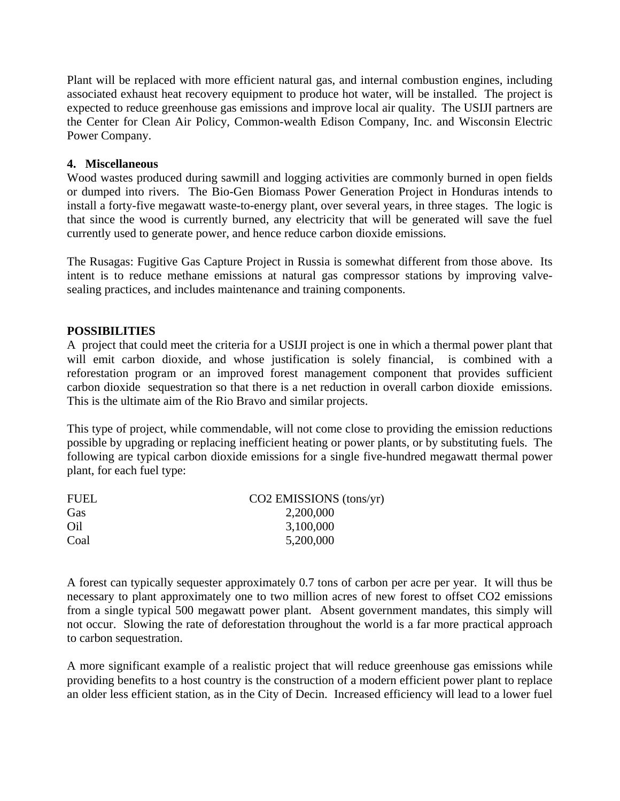Plant will be replaced with more efficient natural gas, and internal combustion engines, including associated exhaust heat recovery equipment to produce hot water, will be installed. The project is expected to reduce greenhouse gas emissions and improve local air quality. The USIJI partners are the Center for Clean Air Policy, Common-wealth Edison Company, Inc. and Wisconsin Electric Power Company.

#### **4. Miscellaneous**

Wood wastes produced during sawmill and logging activities are commonly burned in open fields or dumped into rivers. The Bio-Gen Biomass Power Generation Project in Honduras intends to install a forty-five megawatt waste-to-energy plant, over several years, in three stages. The logic is that since the wood is currently burned, any electricity that will be generated will save the fuel currently used to generate power, and hence reduce carbon dioxide emissions.

The Rusagas: Fugitive Gas Capture Project in Russia is somewhat different from those above. Its intent is to reduce methane emissions at natural gas compressor stations by improving valvesealing practices, and includes maintenance and training components.

### **POSSIBILITIES**

A project that could meet the criteria for a USIJI project is one in which a thermal power plant that will emit carbon dioxide, and whose justification is solely financial, is combined with a reforestation program or an improved forest management component that provides sufficient carbon dioxide sequestration so that there is a net reduction in overall carbon dioxide emissions. This is the ultimate aim of the Rio Bravo and similar projects.

This type of project, while commendable, will not come close to providing the emission reductions possible by upgrading or replacing inefficient heating or power plants, or by substituting fuels. The following are typical carbon dioxide emissions for a single five-hundred megawatt thermal power plant, for each fuel type:

| <b>FUEL</b> | $CO2$ EMISSIONS (tons/yr) |
|-------------|---------------------------|
| Gas         | 2,200,000                 |
| Oil         | 3,100,000                 |
| Coal        | 5,200,000                 |

A forest can typically sequester approximately 0.7 tons of carbon per acre per year. It will thus be necessary to plant approximately one to two million acres of new forest to offset CO2 emissions from a single typical 500 megawatt power plant. Absent government mandates, this simply will not occur. Slowing the rate of deforestation throughout the world is a far more practical approach to carbon sequestration.

A more significant example of a realistic project that will reduce greenhouse gas emissions while providing benefits to a host country is the construction of a modern efficient power plant to replace an older less efficient station, as in the City of Decin. Increased efficiency will lead to a lower fuel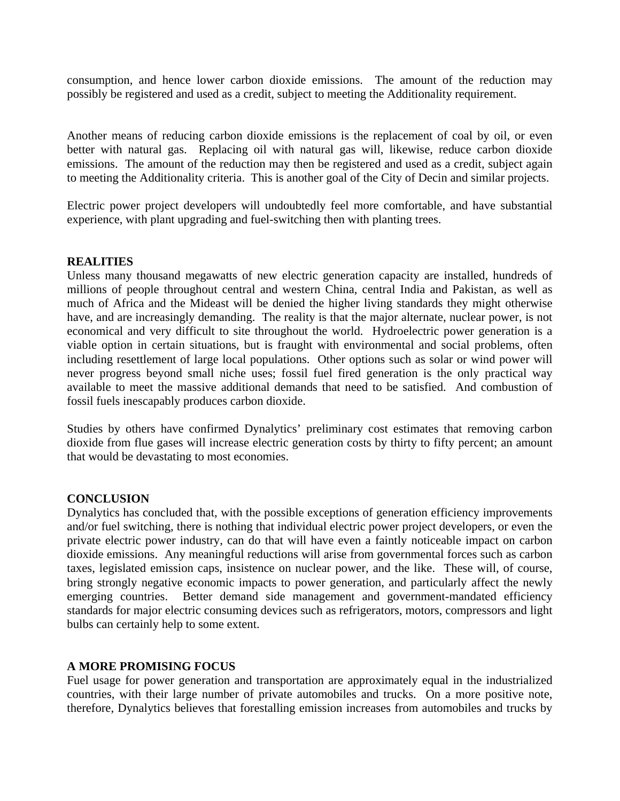consumption, and hence lower carbon dioxide emissions. The amount of the reduction may possibly be registered and used as a credit, subject to meeting the Additionality requirement.

Another means of reducing carbon dioxide emissions is the replacement of coal by oil, or even better with natural gas. Replacing oil with natural gas will, likewise, reduce carbon dioxide emissions. The amount of the reduction may then be registered and used as a credit, subject again to meeting the Additionality criteria. This is another goal of the City of Decin and similar projects.

Electric power project developers will undoubtedly feel more comfortable, and have substantial experience, with plant upgrading and fuel-switching then with planting trees.

#### **REALITIES**

Unless many thousand megawatts of new electric generation capacity are installed, hundreds of millions of people throughout central and western China, central India and Pakistan, as well as much of Africa and the Mideast will be denied the higher living standards they might otherwise have, and are increasingly demanding. The reality is that the major alternate, nuclear power, is not economical and very difficult to site throughout the world. Hydroelectric power generation is a viable option in certain situations, but is fraught with environmental and social problems, often including resettlement of large local populations. Other options such as solar or wind power will never progress beyond small niche uses; fossil fuel fired generation is the only practical way available to meet the massive additional demands that need to be satisfied. And combustion of fossil fuels inescapably produces carbon dioxide.

Studies by others have confirmed Dynalytics' preliminary cost estimates that removing carbon dioxide from flue gases will increase electric generation costs by thirty to fifty percent; an amount that would be devastating to most economies.

#### **CONCLUSION**

Dynalytics has concluded that, with the possible exceptions of generation efficiency improvements and/or fuel switching, there is nothing that individual electric power project developers, or even the private electric power industry, can do that will have even a faintly noticeable impact on carbon dioxide emissions. Any meaningful reductions will arise from governmental forces such as carbon taxes, legislated emission caps, insistence on nuclear power, and the like. These will, of course, bring strongly negative economic impacts to power generation, and particularly affect the newly emerging countries. Better demand side management and government-mandated efficiency standards for major electric consuming devices such as refrigerators, motors, compressors and light bulbs can certainly help to some extent.

#### **A MORE PROMISING FOCUS**

Fuel usage for power generation and transportation are approximately equal in the industrialized countries, with their large number of private automobiles and trucks. On a more positive note, therefore, Dynalytics believes that forestalling emission increases from automobiles and trucks by